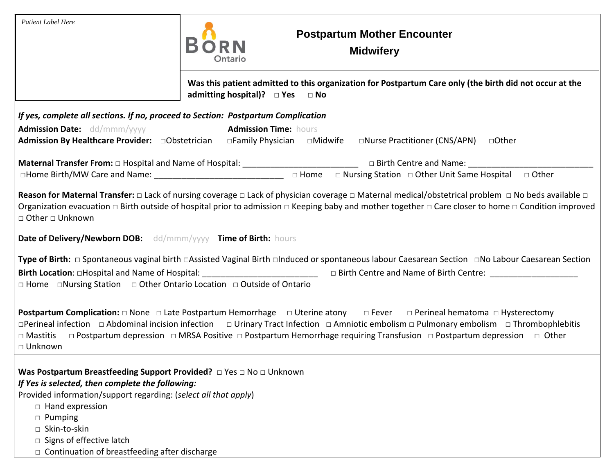| Patient Label Here                                                                                                                                                                                                             | <b>Postpartum Mother Encounter</b><br><b>Midwifery</b><br>Ontario                                                                                                                                                                                                                                                                                                                                                                 |  |
|--------------------------------------------------------------------------------------------------------------------------------------------------------------------------------------------------------------------------------|-----------------------------------------------------------------------------------------------------------------------------------------------------------------------------------------------------------------------------------------------------------------------------------------------------------------------------------------------------------------------------------------------------------------------------------|--|
|                                                                                                                                                                                                                                | Was this patient admitted to this organization for Postpartum Care only (the birth did not occur at the<br>admitting hospital)? □ Yes □ No                                                                                                                                                                                                                                                                                        |  |
|                                                                                                                                                                                                                                | If yes, complete all sections. If no, proceed to Section: Postpartum Complication                                                                                                                                                                                                                                                                                                                                                 |  |
| <b>Admission Date:</b> dd/mmm/yyyy                                                                                                                                                                                             | <b>Admission Time: hours</b><br>Admission By Healthcare Provider: □Obstetrician □Family Physician □Midwife □Nurse Practitioner (CNS/APN) □Other                                                                                                                                                                                                                                                                                   |  |
|                                                                                                                                                                                                                                |                                                                                                                                                                                                                                                                                                                                                                                                                                   |  |
| <b>Maternal Transfer From:</b> $\Box$ Hospital and Name of Hospital: $\Box$ $\Box$ Birth Centre and Name: $\Box$ Birth Centre and Name: $\Box$ Home $\Box$ Rirth Centre and Name: $\Box$ Other Unit Same Hospital $\Box$ Other |                                                                                                                                                                                                                                                                                                                                                                                                                                   |  |
| □ Other □ Unknown<br>Date of Delivery/Newborn DOB: dd/mmm/yyyy Time of Birth: hours                                                                                                                                            | Reason for Maternal Transfer: $\Box$ Lack of nursing coverage $\Box$ Lack of physician coverage $\Box$ Maternal medical/obstetrical problem $\Box$ No beds available $\Box$<br>Organization evacuation $\Box$ Birth outside of hospital prior to admission $\Box$ Keeping baby and mother together $\Box$ Care closer to home $\Box$ Condition improved                                                                           |  |
|                                                                                                                                                                                                                                | Type of Birth: □ Spontaneous vaginal birth □Assisted Vaginal Birth □Induced or spontaneous labour Caesarean Section □No Labour Caesarean Section                                                                                                                                                                                                                                                                                  |  |
|                                                                                                                                                                                                                                | □ Home □Nursing Station □ Other Ontario Location □ Outside of Ontario                                                                                                                                                                                                                                                                                                                                                             |  |
| $\Box$ Mastitis<br>□ Unknown                                                                                                                                                                                                   | <b>Postpartum Complication:</b> $\Box$ None $\Box$ Late Postpartum Hemorrhage $\Box$ Uterine atony $\Box$ Fever $\Box$ Perineal hematoma $\Box$ Hysterectomy<br>□Perineal infection □ Abdominal incision infection □ Urinary Tract Infection □ Amniotic embolism □ Pulmonary embolism □ Thrombophlebitis<br>□ Postpartum depression □ MRSA Positive □ Postpartum Hemorrhage requiring Transfusion □ Postpartum depression □ Other |  |
| If Yes is selected, then complete the following:<br>Provided information/support regarding: (select all that apply)<br>$\Box$ Hand expression<br>$\mathbf{L}$ . The contraction of $\mathbf{L}$                                |                                                                                                                                                                                                                                                                                                                                                                                                                                   |  |

- □ Pumping
- □ Skin-to-skin
- $\square$  Signs of effective latch
- $\Box$  Continuation of breastfeeding after discharge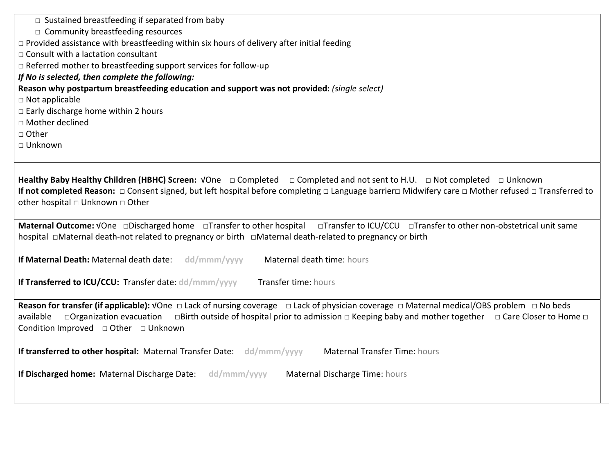| $\Box$ Sustained breastfeeding if separated from baby                                                                                                                                                                                                                                                                                                                                                                                                                                                                  |  |  |  |
|------------------------------------------------------------------------------------------------------------------------------------------------------------------------------------------------------------------------------------------------------------------------------------------------------------------------------------------------------------------------------------------------------------------------------------------------------------------------------------------------------------------------|--|--|--|
| $\Box$ Community breastfeeding resources                                                                                                                                                                                                                                                                                                                                                                                                                                                                               |  |  |  |
| $\Box$ Provided assistance with breastfeeding within six hours of delivery after initial feeding                                                                                                                                                                                                                                                                                                                                                                                                                       |  |  |  |
| □ Consult with a lactation consultant                                                                                                                                                                                                                                                                                                                                                                                                                                                                                  |  |  |  |
| □ Referred mother to breastfeeding support services for follow-up                                                                                                                                                                                                                                                                                                                                                                                                                                                      |  |  |  |
| If No is selected, then complete the following:                                                                                                                                                                                                                                                                                                                                                                                                                                                                        |  |  |  |
| Reason why postpartum breastfeeding education and support was not provided: (single select)                                                                                                                                                                                                                                                                                                                                                                                                                            |  |  |  |
| $\Box$ Not applicable                                                                                                                                                                                                                                                                                                                                                                                                                                                                                                  |  |  |  |
| $\Box$ Early discharge home within 2 hours                                                                                                                                                                                                                                                                                                                                                                                                                                                                             |  |  |  |
| □ Mother declined                                                                                                                                                                                                                                                                                                                                                                                                                                                                                                      |  |  |  |
| □ Other                                                                                                                                                                                                                                                                                                                                                                                                                                                                                                                |  |  |  |
| □ Unknown                                                                                                                                                                                                                                                                                                                                                                                                                                                                                                              |  |  |  |
|                                                                                                                                                                                                                                                                                                                                                                                                                                                                                                                        |  |  |  |
| If not completed Reason: □ Consent signed, but left hospital before completing □ Language barrier□ Midwifery care □ Mother refused □ Transferred to<br>other hospital $\Box$ Unknown $\Box$ Other<br>Maternal Outcome: VOne <b>Discharged home</b> DTransfer to other hospital DTransfer to ICU/CCU DTransfer to other non-obstetrical unit same<br>If Maternal Death: Maternal death date: dd/mmm/yyyy<br>Maternal death time: hours<br>If Transferred to ICU/CCU: Transfer date: dd/mmm/yyyy<br>Transfer time: hours |  |  |  |
| □Organization evacuation □Birth outside of hospital prior to admission □ Keeping baby and mother together □ Care Closer to Home □<br>available<br>Condition Improved $\Box$ Other $\Box$ Unknown                                                                                                                                                                                                                                                                                                                       |  |  |  |
| <b>Maternal Transfer Time: hours</b><br>If transferred to other hospital: Maternal Transfer Date: dd/mmm/yyyy                                                                                                                                                                                                                                                                                                                                                                                                          |  |  |  |
| If Discharged home: Maternal Discharge Date:<br>dd/mmm/yyyy<br>Maternal Discharge Time: hours                                                                                                                                                                                                                                                                                                                                                                                                                          |  |  |  |